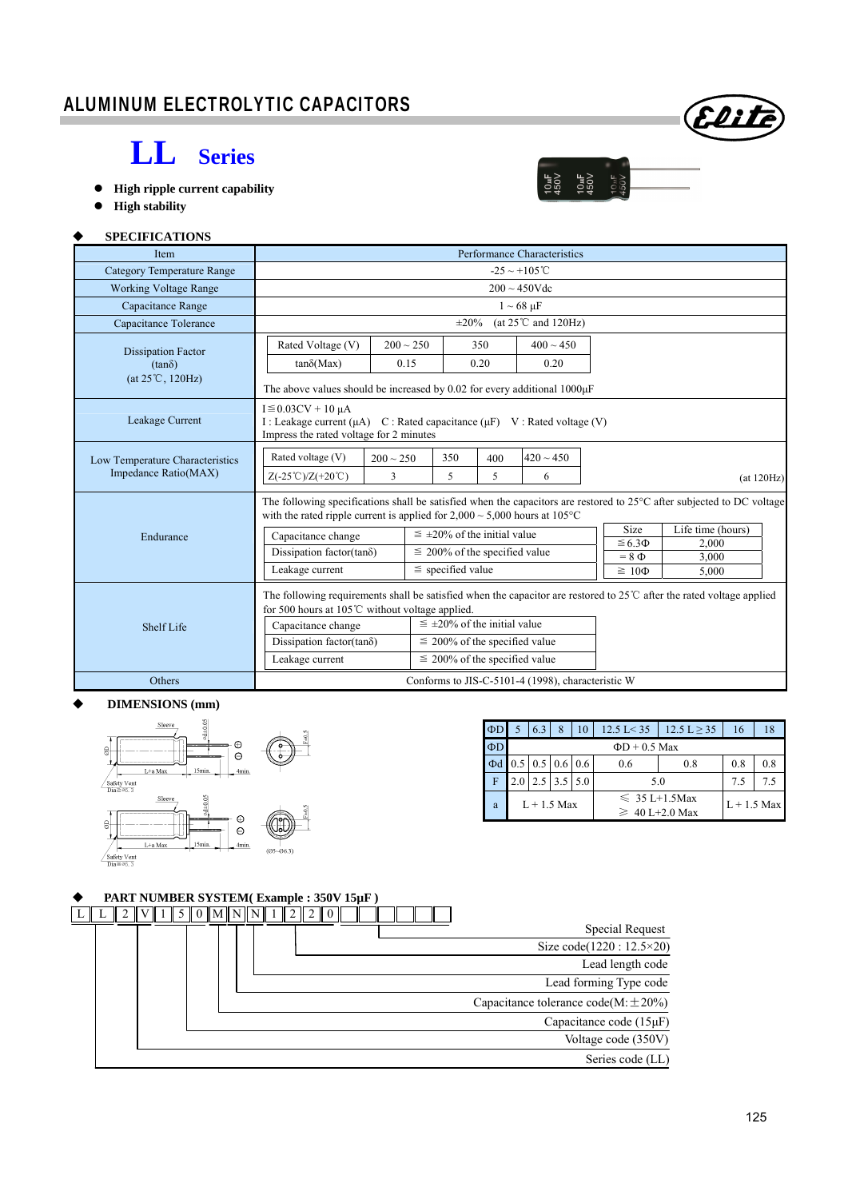## ALUMINUM ELECTROLYTIC CAPACITORS

# **LL Series**

- **High ripple current capability**
- **High stability**

### **SPECIFICATIONS**

| <b>Item</b>                                                                                                                                                                                  | Performance Characteristics                                                                                                                                                                                         |                                                                               |                                      |                                                   |                               |                   |  |  |  |  |  |  |  |
|----------------------------------------------------------------------------------------------------------------------------------------------------------------------------------------------|---------------------------------------------------------------------------------------------------------------------------------------------------------------------------------------------------------------------|-------------------------------------------------------------------------------|--------------------------------------|---------------------------------------------------|-------------------------------|-------------------|--|--|--|--|--|--|--|
| <b>Category Temperature Range</b>                                                                                                                                                            |                                                                                                                                                                                                                     |                                                                               |                                      | $-25 \sim +105^{\circ}$ C                         |                               |                   |  |  |  |  |  |  |  |
| <b>Working Voltage Range</b>                                                                                                                                                                 |                                                                                                                                                                                                                     |                                                                               |                                      | $200 \sim 450$ Vdc                                |                               |                   |  |  |  |  |  |  |  |
| Capacitance Range                                                                                                                                                                            | $1 \sim 68 \text{ }\mu\text{F}$                                                                                                                                                                                     |                                                                               |                                      |                                                   |                               |                   |  |  |  |  |  |  |  |
| Capacitance Tolerance                                                                                                                                                                        | $\pm 20\%$<br>(at $25^{\circ}$ C and $120$ Hz)                                                                                                                                                                      |                                                                               |                                      |                                                   |                               |                   |  |  |  |  |  |  |  |
| <b>Dissipation Factor</b>                                                                                                                                                                    | Rated Voltage (V)                                                                                                                                                                                                   | $200 \sim 250$                                                                | 350                                  | $400 \sim 450$                                    |                               |                   |  |  |  |  |  |  |  |
| $(tan\delta)$                                                                                                                                                                                | $tan\delta(Max)$                                                                                                                                                                                                    | 0.15                                                                          | 0.20                                 | 0.20                                              |                               |                   |  |  |  |  |  |  |  |
| $(at 25^{\circ}C, 120Hz)$                                                                                                                                                                    |                                                                                                                                                                                                                     | The above values should be increased by 0.02 for every additional $1000\mu$ F |                                      |                                                   |                               |                   |  |  |  |  |  |  |  |
| Leakage Current                                                                                                                                                                              | $I \leq 0.03CV + 10 \mu A$<br>I : Leakage current ( $\mu$ A) C : Rated capacitance ( $\mu$ F) V : Rated voltage (V)<br>Impress the rated voltage for 2 minutes                                                      |                                                                               |                                      |                                                   |                               |                   |  |  |  |  |  |  |  |
| Low Temperature Characteristics<br>Impedance Ratio(MAX)                                                                                                                                      | Rated voltage (V)<br>$Z(-25^{\circ}\text{C})/Z(+20^{\circ}\text{C})$                                                                                                                                                | $200 \sim 250$<br>3                                                           | 350<br>400<br>5<br>5                 | $420 \sim 450$<br>6                               |                               | (at 120Hz)        |  |  |  |  |  |  |  |
|                                                                                                                                                                                              | The following specifications shall be satisfied when the capacitors are restored to $25^{\circ}$ C after subjected to DC voltage<br>with the rated ripple current is applied for $2,000 \sim 5,000$ hours at 105 °C |                                                                               |                                      |                                                   |                               |                   |  |  |  |  |  |  |  |
| Endurance                                                                                                                                                                                    | Capacitance change                                                                                                                                                                                                  |                                                                               | $\leq \pm 20\%$ of the initial value |                                                   | <b>Size</b>                   | Life time (hours) |  |  |  |  |  |  |  |
|                                                                                                                                                                                              | Dissipation factor(tan $\delta$ )                                                                                                                                                                                   |                                                                               | $\leq$ 200% of the specified value   |                                                   | $\leq 6.3 \Phi$<br>$= 8 \Phi$ | 2.000<br>3.000    |  |  |  |  |  |  |  |
|                                                                                                                                                                                              | Leakage current                                                                                                                                                                                                     |                                                                               | $\le$ specified value                |                                                   | $\geq 10\Phi$                 | 5,000             |  |  |  |  |  |  |  |
| The following requirements shall be satisfied when the capacitor are restored to $25^{\circ}$ C after the rated voltage applied<br>for 500 hours at $105^{\circ}$ C without voltage applied. |                                                                                                                                                                                                                     |                                                                               |                                      |                                                   |                               |                   |  |  |  |  |  |  |  |
| Shelf Life                                                                                                                                                                                   | Capacitance change                                                                                                                                                                                                  |                                                                               | $\leq \pm 20\%$ of the initial value |                                                   |                               |                   |  |  |  |  |  |  |  |
|                                                                                                                                                                                              | Dissipation factor(tan $\delta$ )                                                                                                                                                                                   |                                                                               | $\leq$ 200% of the specified value   |                                                   |                               |                   |  |  |  |  |  |  |  |
|                                                                                                                                                                                              | Leakage current                                                                                                                                                                                                     |                                                                               | $\leq$ 200% of the specified value   |                                                   |                               |                   |  |  |  |  |  |  |  |
| <b>Others</b>                                                                                                                                                                                |                                                                                                                                                                                                                     |                                                                               |                                      | Conforms to JIS-C-5101-4 (1998), characteristic W |                               |                   |  |  |  |  |  |  |  |

#### **DIMENSIONS (mm)**



| $\Phi$ D | 6.3 | 8                                         | 10 | $12.5 \text{ L} < 35$                     | $12.5 \text{ L} \geq 35$ | 16  | 18 |
|----------|-----|-------------------------------------------|----|-------------------------------------------|--------------------------|-----|----|
| $\Phi$ D |     |                                           |    |                                           |                          |     |    |
| Φd       |     | $0.5 \,   \, 0.5 \,   \, 0.6 \,   \, 0.6$ |    | 0.6                                       | 0.8                      | 0.8 |    |
| F        |     | 3.5                                       |    | 5.0                                       | 7.5                      |     |    |
| a        |     | $L + 1.5$ Max                             |    | $\leq 35$ L+1.5Max<br>$\geq 40$ L+2.0 Max | $L + 1.5$ Max            |     |    |

#### **PART NUMBER SYSTEM( Example : 350V 15µF )**

|  |  |  | $0$ $\parallel$ M $\parallel$ N $\parallel$ N $\parallel$ N $\parallel$ |  |  |  |  |  |  |  |  |                                          |
|--|--|--|-------------------------------------------------------------------------|--|--|--|--|--|--|--|--|------------------------------------------|
|  |  |  |                                                                         |  |  |  |  |  |  |  |  | Special Request                          |
|  |  |  |                                                                         |  |  |  |  |  |  |  |  | Size code(1220: 12.5×20)                 |
|  |  |  |                                                                         |  |  |  |  |  |  |  |  | Lead length code                         |
|  |  |  |                                                                         |  |  |  |  |  |  |  |  | Lead forming Type code                   |
|  |  |  |                                                                         |  |  |  |  |  |  |  |  | Capacitance tolerance $code(M:\pm 20\%)$ |
|  |  |  |                                                                         |  |  |  |  |  |  |  |  | Capacitance code $(15 \mu F)$            |
|  |  |  |                                                                         |  |  |  |  |  |  |  |  | Voltage code (350V)                      |
|  |  |  |                                                                         |  |  |  |  |  |  |  |  | Series code (LL)                         |



 $\begin{array}{l} 10 \text{uF} \\ 450 \text{V} \\ 10 \text{uF} \\ 450 \text{V} \\ 10 \text{uF} \\ 10 \text{uF} \\ 10 \text{uF} \\ 10 \text{vF} \end{array}$